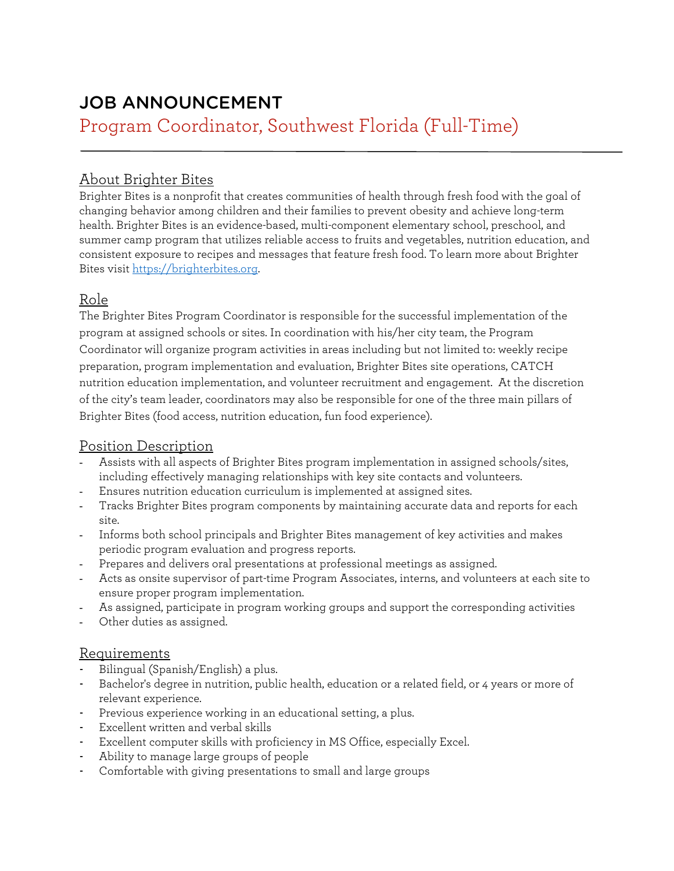# JOB ANNOUNCEMENT Program Coordinator, Southwest Florida (Full-Time)

## About Brighter Bites

Brighter Bites is a nonprofit that creates communities of health through fresh food with the goal of changing behavior among children and their families to prevent obesity and achieve long-term health. Brighter Bites is an evidence-based, multi-component elementary school, preschool, and summer camp program that utilizes reliable access to fruits and vegetables, nutrition education, and consistent exposure to recipes and messages that feature fresh food. To learn more about Brighter Bites visit [https://brighterbites.org.](https://brighterbites.org/) 

### Role

The Brighter Bites Program Coordinator is responsible for the successful implementation of the program at assigned schools or sites. In coordination with his/her city team, the Program Coordinator will organize program activities in areas including but not limited to: weekly recipe preparation, program implementation and evaluation, Brighter Bites site operations, CATCH nutrition education implementation, and volunteer recruitment and engagement. At the discretion of the city's team leader, coordinators may also be responsible for one of the three main pillars of Brighter Bites (food access, nutrition education, fun food experience).

#### Position Description

- Assists with all aspects of Brighter Bites program implementation in assigned schools/sites, including effectively managing relationships with key site contacts and volunteers.
- Ensures nutrition education curriculum is implemented at assigned sites.
- Tracks Brighter Bites program components by maintaining accurate data and reports for each site.
- Informs both school principals and Brighter Bites management of key activities and makes periodic program evaluation and progress reports.
- Prepares and delivers oral presentations at professional meetings as assigned.
- Acts as onsite supervisor of part-time Program Associates, interns, and volunteers at each site to ensure proper program implementation.
- As assigned, participate in program working groups and support the corresponding activities
- Other duties as assigned.

#### Requirements

- Bilingual (Spanish/English) a plus.
- Bachelor's degree in nutrition, public health, education or a related field, or 4 years or more of relevant experience.
- Previous experience working in an educational setting, a plus.
- Excellent written and verbal skills
- Excellent computer skills with proficiency in MS Office, especially Excel.
- Ability to manage large groups of people
- Comfortable with giving presentations to small and large groups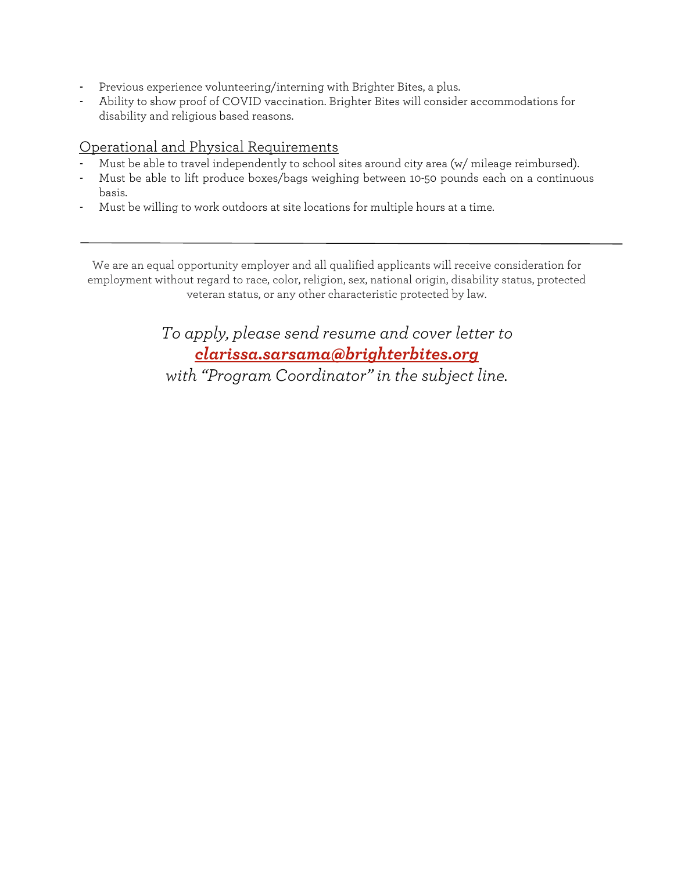- Previous experience volunteering/interning with Brighter Bites, a plus.
- Ability to show proof of COVID vaccination. Brighter Bites will consider accommodations for disability and religious based reasons.

## Operational and Physical Requirements

- Must be able to travel independently to school sites around city area (w/ mileage reimbursed).
- Must be able to lift produce boxes/bags weighing between 10-50 pounds each on a continuous basis.
- Must be willing to work outdoors at site locations for multiple hours at a time.

We are an equal opportunity employer and all qualified applicants will receive consideration for employment without regard to race, color, religion, sex, national origin, disability status, protected veteran status, or any other characteristic protected by law.

> *To apply, please send resume and cover letter to clarissa.sarsama@brighterbites.org*

*with "Program Coordinator" in the subject line.*